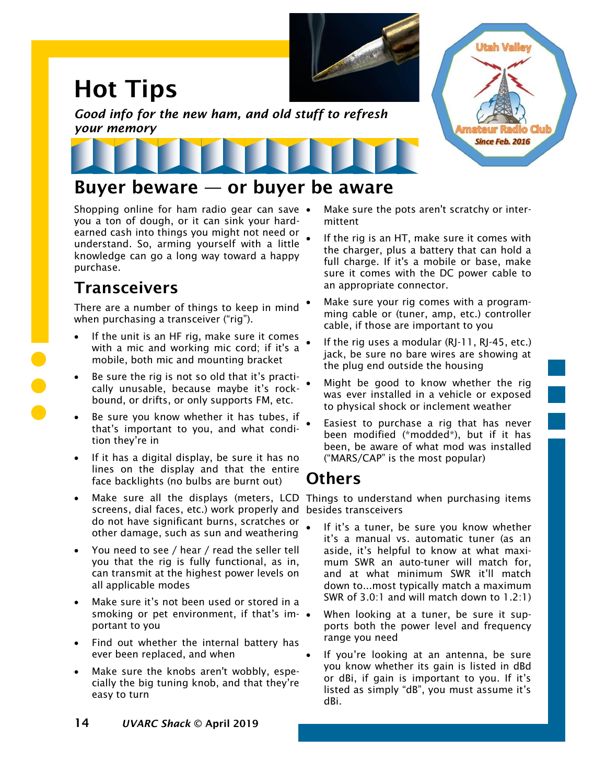# Hot Tips



*Good info for the new ham, and old stuff to refresh your memory*



#### Buyer beware — or buyer be aware

Shopping online for ham radio gear can save • you a ton of dough, or it can sink your hardearned cash into things you might not need or understand. So, arming yourself with a little knowledge can go a long way toward a happy purchase.

### **Transceivers**

There are a number of things to keep in mind when purchasing a transceiver ("rig").

- If the unit is an HF rig, make sure it comes with a mic and working mic cord; if it's a mobile, both mic and mounting bracket
- Be sure the rig is not so old that it's practically unusable, because maybe it's rockbound, or drifts, or only supports FM, etc.
- Be sure you know whether it has tubes, if that's important to you, and what condition they're in
- If it has a digital display, be sure it has no lines on the display and that the entire face backlights (no bulbs are burnt out)
- screens, dial faces, etc.) work properly and besides transceivers do not have significant burns, scratches or other damage, such as sun and weathering
- You need to see / hear / read the seller tell you that the rig is fully functional, as in, can transmit at the highest power levels on all applicable modes
- Make sure it's not been used or stored in a smoking or pet environment, if that's im-  $\bullet$ portant to you
- Find out whether the internal battery has ever been replaced, and when
- Make sure the knobs aren't wobbly, especially the big tuning knob, and that they're easy to turn

Make sure the pots aren't scratchy or intermittent

**Utah Valley** 

**Since Feb. 2016** 

- If the rig is an HT, make sure it comes with the charger, plus a battery that can hold a full charge. If it's a mobile or base, make sure it comes with the DC power cable to an appropriate connector.
- Make sure your rig comes with a programming cable or (tuner, amp, etc.) controller cable, if those are important to you
- If the rig uses a modular (RJ-11, RJ-45, etc.) jack, be sure no bare wires are showing at the plug end outside the housing
- Might be good to know whether the rig was ever installed in a vehicle or exposed to physical shock or inclement weather
- Easiest to purchase a rig that has never been modified (\*modded\*), but if it has been, be aware of what mod was installed ("MARS/CAP" is the most popular)

#### Others

• Make sure all the displays (meters, LCD Things to understand when purchasing items

- If it's a tuner, be sure you know whether it's a manual vs. automatic tuner (as an aside, it's helpful to know at what maximum SWR an auto-tuner will match for, and at what minimum SWR it'll match down to...most typically match a maximum SWR of 3.0:1 and will match down to 1.2:1)
- When looking at a tuner, be sure it supports both the power level and frequency range you need
- If you're looking at an antenna, be sure you know whether its gain is listed in dBd or dBi, if gain is important to you. If it's listed as simply "dB", you must assume it's dBi.